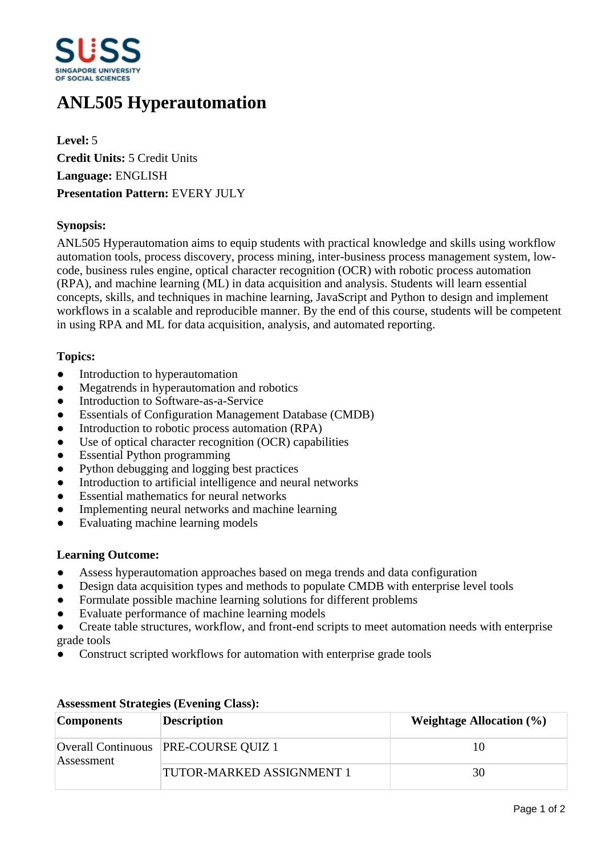

# **ANL505 Hyperautomation**

**Level:** 5 **Credit Units:** 5 Credit Units **Language:** ENGLISH **Presentation Pattern:** EVERY JULY

## **Synopsis:**

ANL505 Hyperautomation aims to equip students with practical knowledge and skills using workflow automation tools, process discovery, process mining, inter-business process management system, lowcode, business rules engine, optical character recognition (OCR) with robotic process automation (RPA), and machine learning (ML) in data acquisition and analysis. Students will learn essential concepts, skills, and techniques in machine learning, JavaScript and Python to design and implement workflows in a scalable and reproducible manner. By the end of this course, students will be competent in using RPA and ML for data acquisition, analysis, and automated reporting.

### **Topics:**

- Introduction to hyperautomation
- Megatrends in hyperautomation and robotics
- Introduction to Software-as-a-Service
- Essentials of Configuration Management Database (CMDB)
- Introduction to robotic process automation (RPA)
- Use of optical character recognition (OCR) capabilities
- Essential Python programming
- Python debugging and logging best practices
- Introduction to artificial intelligence and neural networks
- Essential mathematics for neural networks
- Implementing neural networks and machine learning
- Evaluating machine learning models

### **Learning Outcome:**

- Assess hyperautomation approaches based on mega trends and data configuration
- Design data acquisition types and methods to populate CMDB with enterprise level tools
- Formulate possible machine learning solutions for different problems
- Evaluate performance of machine learning models
- ƔCreate table structures, workflow, and front-end scripts to meet automation needs with enterprise grade tools
- Construct scripted workflows for automation with enterprise grade tools

| <b>Components</b> | <b>Description</b>                     | Weightage Allocation $(\% )$ |
|-------------------|----------------------------------------|------------------------------|
| Assessment        | Overall Continuous   PRE-COURSE QUIZ 1 | 10                           |
|                   | <b>TUTOR-MARKED ASSIGNMENT 1</b>       | 30                           |

#### **Assessment Strategies (Evening Class):**